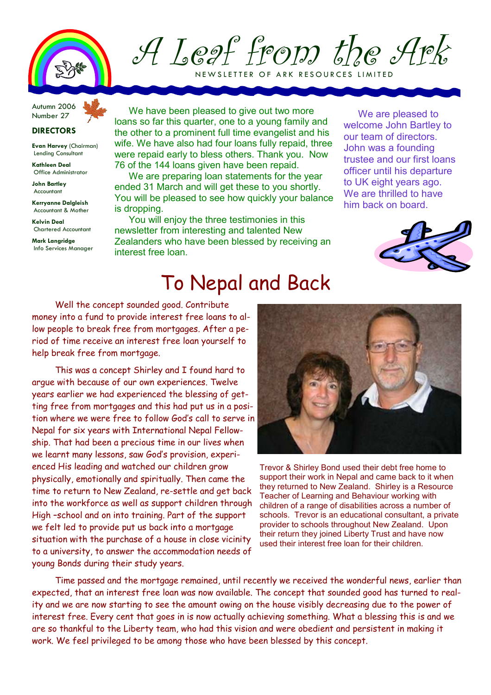

A Leaf from the Ark

NEW SLETTER OF ARK RESOURCES LIMITED

Autumn 2006 Number 27

## **DIRECTORS**

Evan Harvey (Chairman) Lending Consultant

Kathleen Deal Office Administrator

John Bartley Accountant

Kerryanne Dalgleish Accountant & Mother

Kelvin Deal Chartered Accountant

Mark Langridge Info Services Manager

We have been pleased to give out two more loans so far this quarter, one to a young family and the other to a prominent full time evangelist and his wife. We have also had four loans fully repaid, three were repaid early to bless others. Thank you. Now 76 of the 144 loans given have been repaid.

We are preparing loan statements for the year ended 31 March and will get these to you shortly. You will be pleased to see how quickly your balance is dropping.

You will enjoy the three testimonies in this newsletter from interesting and talented New Zealanders who have been blessed by receiving an interest free loan.

We are pleased to welcome John Bartley to our team of directors. John was a founding trustee and our first loans officer until his departure to UK eight years ago. We are thrilled to have him back on board.



## To Nepal and Back

Well the concept sounded good. Contribute money into a fund to provide interest free loans to allow people to break free from mortgages. After a period of time receive an interest free loan yourself to help break free from mortgage.

This was a concept Shirley and I found hard to argue with because of our own experiences. Twelve years earlier we had experienced the blessing of getting free from mortgages and this had put us in a position where we were free to follow God's call to serve in Nepal for six years with International Nepal Fellowship. That had been a precious time in our lives when we learnt many lessons, saw God's provision, experienced His leading and watched our children grow physically, emotionally and spiritually. Then came the time to return to New Zealand, re-settle and get back into the workforce as well as support children through High –school and on into training. Part of the support we felt led to provide put us back into a mortgage situation with the purchase of a house in close vicinity to a university, to answer the accommodation needs of young Bonds during their study years.



Trevor & Shirley Bond used their debt free home to support their work in Nepal and came back to it when they returned to New Zealand. Shirley is a Resource Teacher of Learning and Behaviour working with children of a range of disabilities across a number of schools. Trevor is an educational consultant, a private provider to schools throughout New Zealand. Upon their return they joined Liberty Trust and have now used their interest free loan for their children.

Time passed and the mortgage remained, until recently we received the wonderful news, earlier than expected, that an interest free loan was now available. The concept that sounded good has turned to reality and we are now starting to see the amount owing on the house visibly decreasing due to the power of interest free. Every cent that goes in is now actually achieving something. What a blessing this is and we are so thankful to the Liberty team, who had this vision and were obedient and persistent in making it work. We feel privileged to be among those who have been blessed by this concept.